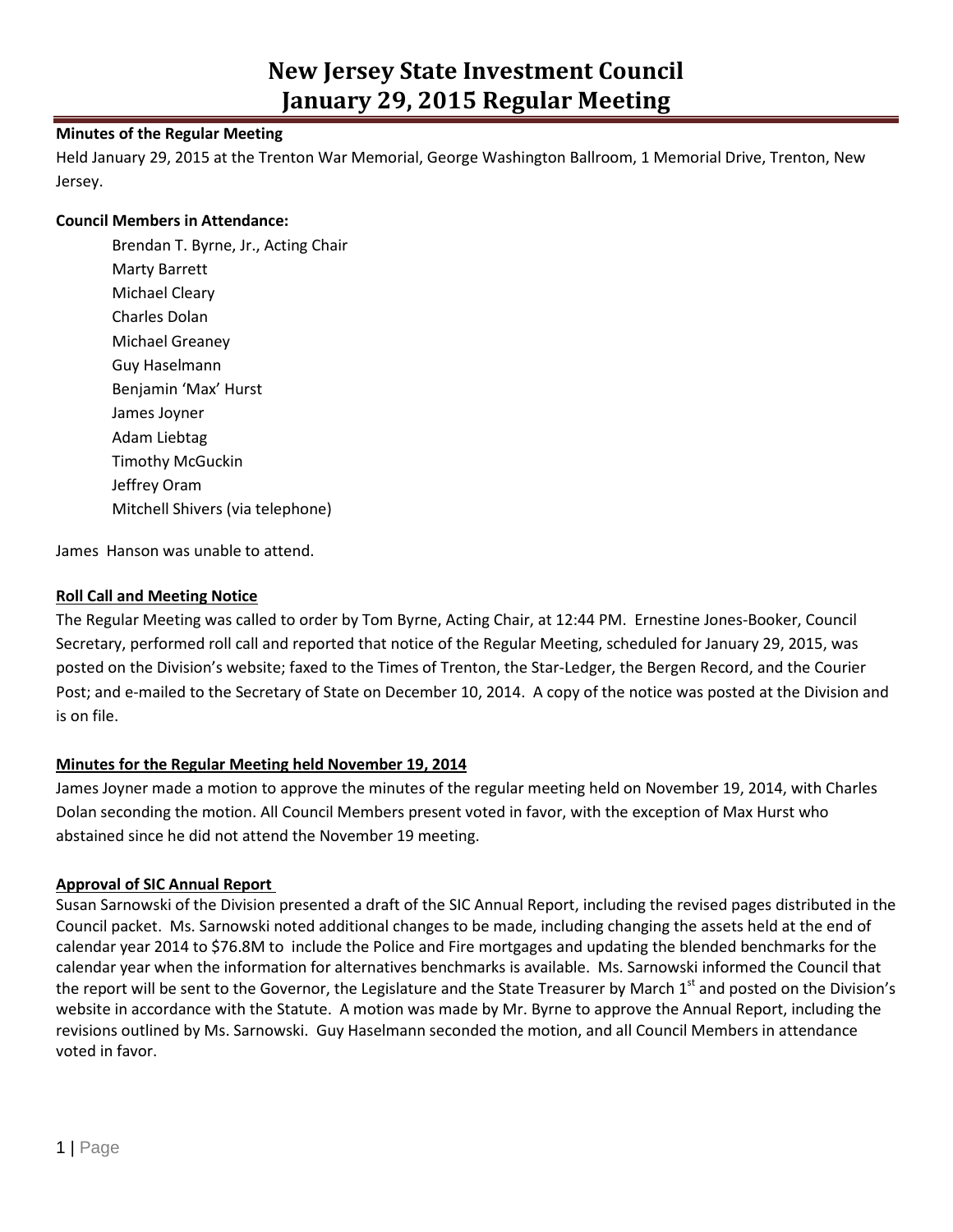# **Minutes of the Regular Meeting**

Held January 29, 2015 at the Trenton War Memorial, George Washington Ballroom, 1 Memorial Drive, Trenton, New Jersey.

#### **Council Members in Attendance:**

Brendan T. Byrne, Jr., Acting Chair Marty Barrett Michael Cleary Charles Dolan Michael Greaney Guy Haselmann Benjamin 'Max' Hurst James Joyner Adam Liebtag Timothy McGuckin Jeffrey Oram Mitchell Shivers (via telephone)

James Hanson was unable to attend.

### **Roll Call and Meeting Notice**

The Regular Meeting was called to order by Tom Byrne, Acting Chair, at 12:44 PM. Ernestine Jones-Booker, Council Secretary, performed roll call and reported that notice of the Regular Meeting, scheduled for January 29, 2015, was posted on the Division's website; faxed to the Times of Trenton, the Star-Ledger, the Bergen Record, and the Courier Post; and e-mailed to the Secretary of State on December 10, 2014. A copy of the notice was posted at the Division and is on file.

### **Minutes for the Regular Meeting held November 19, 2014**

James Joyner made a motion to approve the minutes of the regular meeting held on November 19, 2014, with Charles Dolan seconding the motion. All Council Members present voted in favor, with the exception of Max Hurst who abstained since he did not attend the November 19 meeting.

### **Approval of SIC Annual Report**

Susan Sarnowski of the Division presented a draft of the SIC Annual Report, including the revised pages distributed in the Council packet. Ms. Sarnowski noted additional changes to be made, including changing the assets held at the end of calendar year 2014 to \$76.8M to include the Police and Fire mortgages and updating the blended benchmarks for the calendar year when the information for alternatives benchmarks is available. Ms. Sarnowski informed the Council that the report will be sent to the Governor, the Legislature and the State Treasurer by March 1<sup>st</sup> and posted on the Division's website in accordance with the Statute. A motion was made by Mr. Byrne to approve the Annual Report, including the revisions outlined by Ms. Sarnowski. Guy Haselmann seconded the motion, and all Council Members in attendance voted in favor.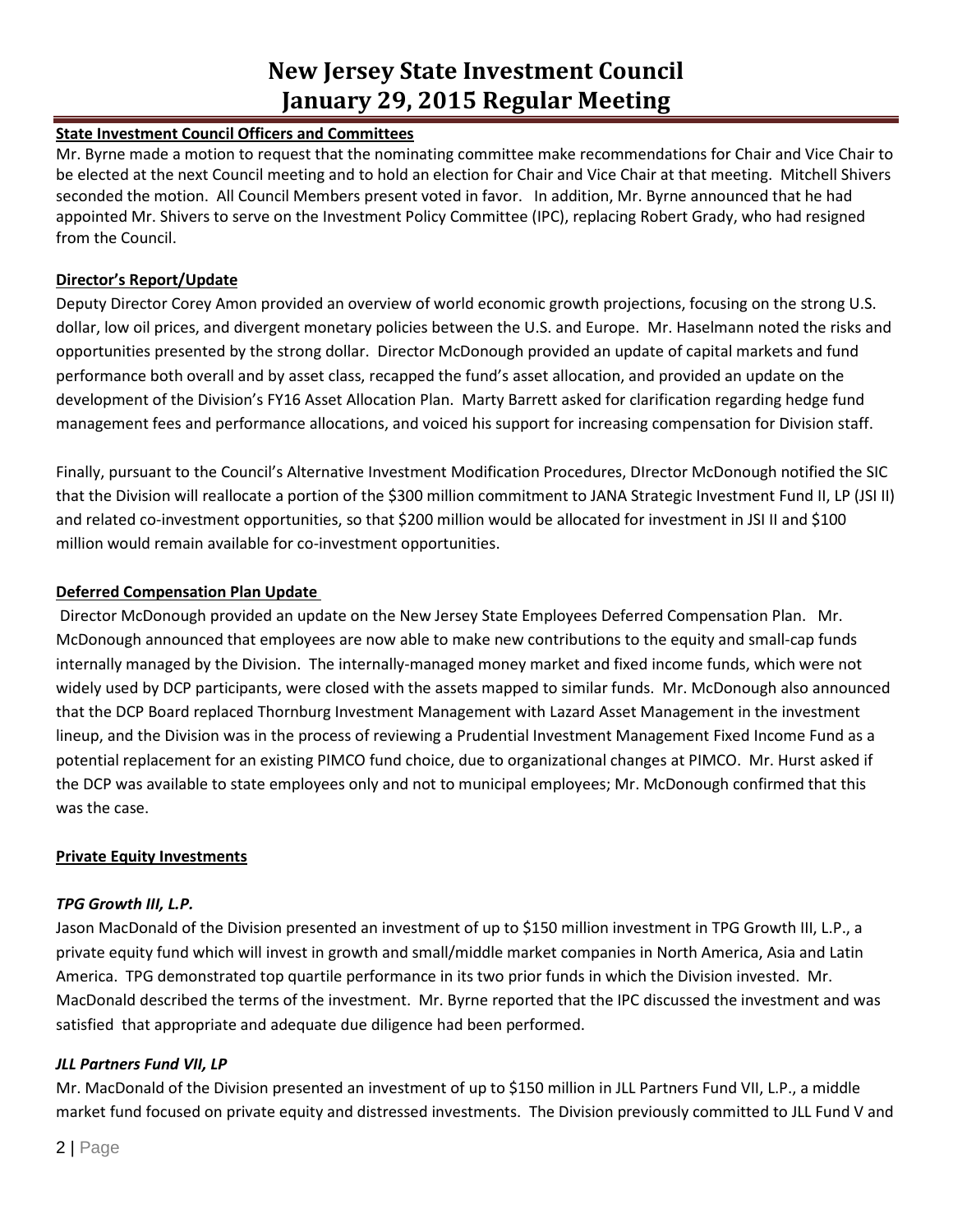# **State Investment Council Officers and Committees**

Mr. Byrne made a motion to request that the nominating committee make recommendations for Chair and Vice Chair to be elected at the next Council meeting and to hold an election for Chair and Vice Chair at that meeting. Mitchell Shivers seconded the motion. All Council Members present voted in favor. In addition, Mr. Byrne announced that he had appointed Mr. Shivers to serve on the Investment Policy Committee (IPC), replacing Robert Grady, who had resigned from the Council.

# **Director's Report/Update**

Deputy Director Corey Amon provided an overview of world economic growth projections, focusing on the strong U.S. dollar, low oil prices, and divergent monetary policies between the U.S. and Europe. Mr. Haselmann noted the risks and opportunities presented by the strong dollar. Director McDonough provided an update of capital markets and fund performance both overall and by asset class, recapped the fund's asset allocation, and provided an update on the development of the Division's FY16 Asset Allocation Plan. Marty Barrett asked for clarification regarding hedge fund management fees and performance allocations, and voiced his support for increasing compensation for Division staff.

Finally, pursuant to the Council's Alternative Investment Modification Procedures, DIrector McDonough notified the SIC that the Division will reallocate a portion of the \$300 million commitment to JANA Strategic Investment Fund II, LP (JSI II) and related co-investment opportunities, so that \$200 million would be allocated for investment in JSI II and \$100 million would remain available for co-investment opportunities.

# **Deferred Compensation Plan Update**

Director McDonough provided an update on the New Jersey State Employees Deferred Compensation Plan. Mr. McDonough announced that employees are now able to make new contributions to the equity and small-cap funds internally managed by the Division. The internally-managed money market and fixed income funds, which were not widely used by DCP participants, were closed with the assets mapped to similar funds. Mr. McDonough also announced that the DCP Board replaced Thornburg Investment Management with Lazard Asset Management in the investment lineup, and the Division was in the process of reviewing a Prudential Investment Management Fixed Income Fund as a potential replacement for an existing PIMCO fund choice, due to organizational changes at PIMCO. Mr. Hurst asked if the DCP was available to state employees only and not to municipal employees; Mr. McDonough confirmed that this was the case.

# **Private Equity Investments**

# *TPG Growth III, L.P.*

Jason MacDonald of the Division presented an investment of up to \$150 million investment in TPG Growth III, L.P., a private equity fund which will invest in growth and small/middle market companies in North America, Asia and Latin America. TPG demonstrated top quartile performance in its two prior funds in which the Division invested. Mr. MacDonald described the terms of the investment. Mr. Byrne reported that the IPC discussed the investment and was satisfied that appropriate and adequate due diligence had been performed.

# *JLL Partners Fund VII, LP*

Mr. MacDonald of the Division presented an investment of up to \$150 million in JLL Partners Fund VII, L.P., a middle market fund focused on private equity and distressed investments. The Division previously committed to JLL Fund V and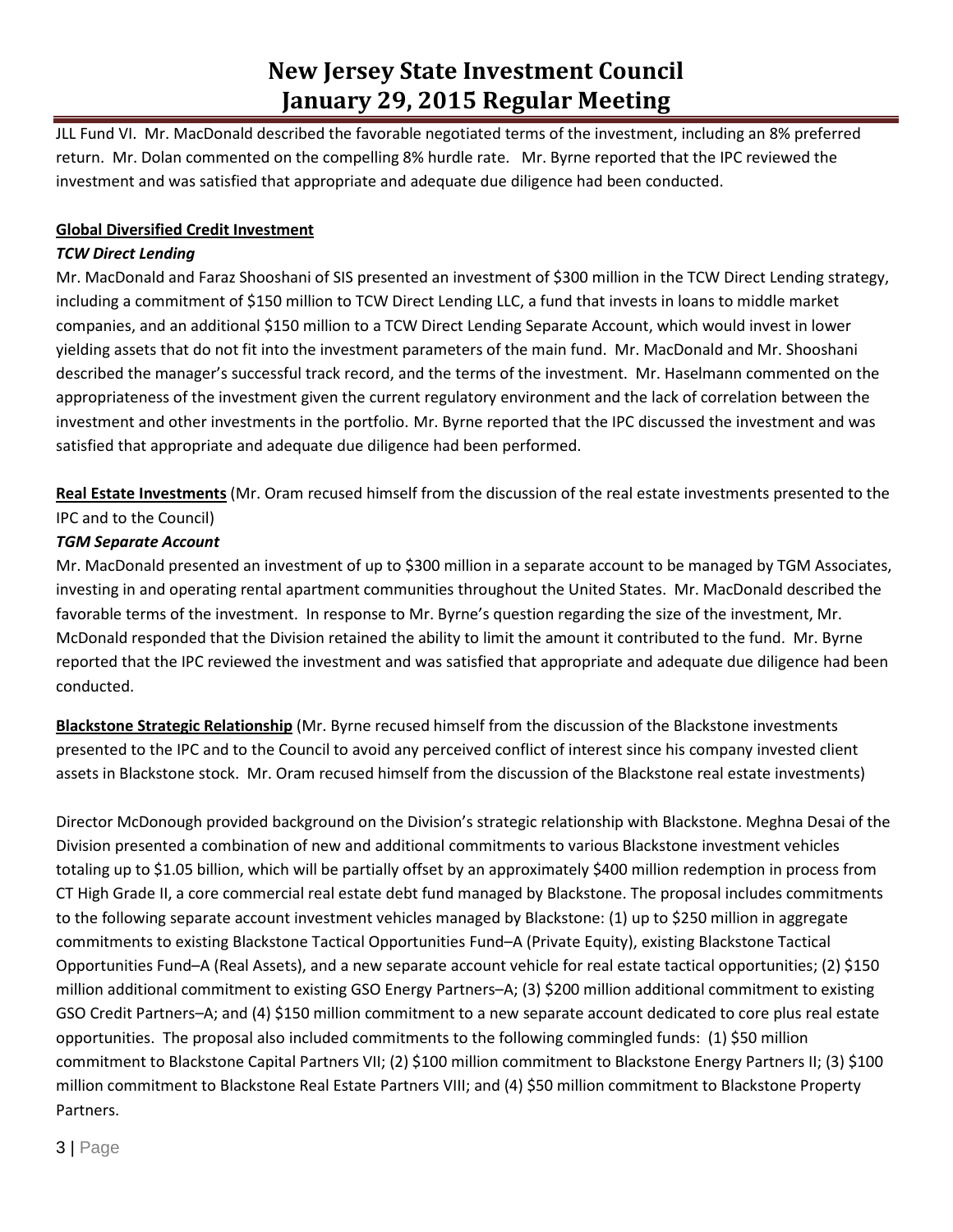JLL Fund VI. Mr. MacDonald described the favorable negotiated terms of the investment, including an 8% preferred return. Mr. Dolan commented on the compelling 8% hurdle rate. Mr. Byrne reported that the IPC reviewed the investment and was satisfied that appropriate and adequate due diligence had been conducted.

## **Global Diversified Credit Investment**

## *TCW Direct Lending*

Mr. MacDonald and Faraz Shooshani of SIS presented an investment of \$300 million in the TCW Direct Lending strategy, including a commitment of \$150 million to TCW Direct Lending LLC, a fund that invests in loans to middle market companies, and an additional \$150 million to a TCW Direct Lending Separate Account, which would invest in lower yielding assets that do not fit into the investment parameters of the main fund. Mr. MacDonald and Mr. Shooshani described the manager's successful track record, and the terms of the investment. Mr. Haselmann commented on the appropriateness of the investment given the current regulatory environment and the lack of correlation between the investment and other investments in the portfolio. Mr. Byrne reported that the IPC discussed the investment and was satisfied that appropriate and adequate due diligence had been performed.

**Real Estate Investments** (Mr. Oram recused himself from the discussion of the real estate investments presented to the IPC and to the Council)

### *TGM Separate Account*

Mr. MacDonald presented an investment of up to \$300 million in a separate account to be managed by TGM Associates, investing in and operating rental apartment communities throughout the United States. Mr. MacDonald described the favorable terms of the investment. In response to Mr. Byrne's question regarding the size of the investment, Mr. McDonald responded that the Division retained the ability to limit the amount it contributed to the fund. Mr. Byrne reported that the IPC reviewed the investment and was satisfied that appropriate and adequate due diligence had been conducted.

**Blackstone Strategic Relationship** (Mr. Byrne recused himself from the discussion of the Blackstone investments presented to the IPC and to the Council to avoid any perceived conflict of interest since his company invested client assets in Blackstone stock. Mr. Oram recused himself from the discussion of the Blackstone real estate investments)

Director McDonough provided background on the Division's strategic relationship with Blackstone. Meghna Desai of the Division presented a combination of new and additional commitments to various Blackstone investment vehicles totaling up to \$1.05 billion, which will be partially offset by an approximately \$400 million redemption in process from CT High Grade II, a core commercial real estate debt fund managed by Blackstone. The proposal includes commitments to the following separate account investment vehicles managed by Blackstone: (1) up to \$250 million in aggregate commitments to existing Blackstone Tactical Opportunities Fund–A (Private Equity), existing Blackstone Tactical Opportunities Fund–A (Real Assets), and a new separate account vehicle for real estate tactical opportunities; (2) \$150 million additional commitment to existing GSO Energy Partners–A; (3) \$200 million additional commitment to existing GSO Credit Partners–A; and (4) \$150 million commitment to a new separate account dedicated to core plus real estate opportunities. The proposal also included commitments to the following commingled funds: (1) \$50 million commitment to Blackstone Capital Partners VII; (2) \$100 million commitment to Blackstone Energy Partners II; (3) \$100 million commitment to Blackstone Real Estate Partners VIII; and (4) \$50 million commitment to Blackstone Property Partners.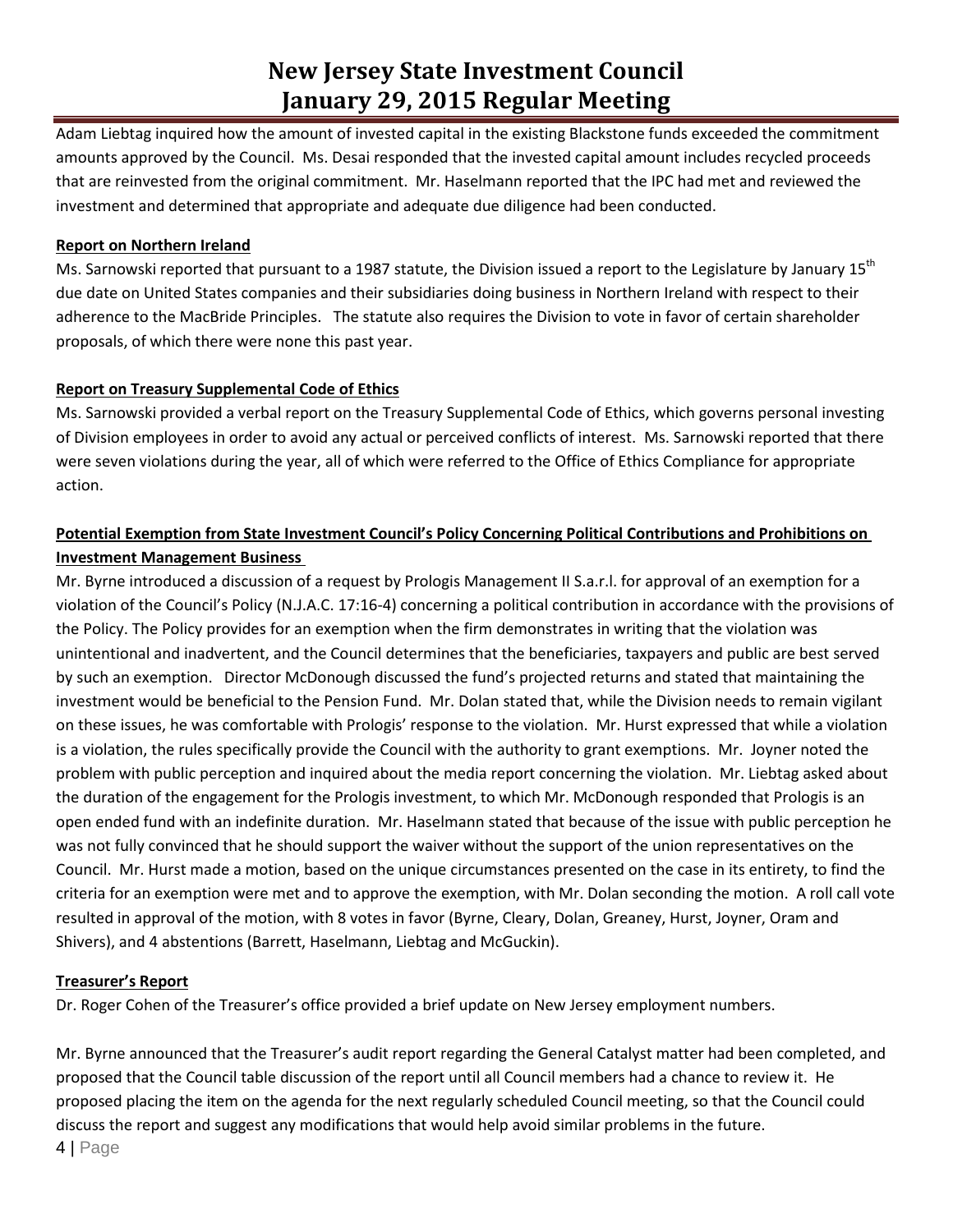Adam Liebtag inquired how the amount of invested capital in the existing Blackstone funds exceeded the commitment amounts approved by the Council. Ms. Desai responded that the invested capital amount includes recycled proceeds that are reinvested from the original commitment. Mr. Haselmann reported that the IPC had met and reviewed the investment and determined that appropriate and adequate due diligence had been conducted.

### **Report on Northern Ireland**

Ms. Sarnowski reported that pursuant to a 1987 statute, the Division issued a report to the Legislature by January 15<sup>th</sup> due date on United States companies and their subsidiaries doing business in Northern Ireland with respect to their adherence to the MacBride Principles. The statute also requires the Division to vote in favor of certain shareholder proposals, of which there were none this past year.

# **Report on Treasury Supplemental Code of Ethics**

Ms. Sarnowski provided a verbal report on the Treasury Supplemental Code of Ethics, which governs personal investing of Division employees in order to avoid any actual or perceived conflicts of interest. Ms. Sarnowski reported that there were seven violations during the year, all of which were referred to the Office of Ethics Compliance for appropriate action.

# **Potential Exemption from State Investment Council's Policy Concerning Political Contributions and Prohibitions on Investment Management Business**

Mr. Byrne introduced a discussion of a request by Prologis Management II S.a.r.l. for approval of an exemption for a violation of the Council's Policy (N.J.A.C. 17:16-4) concerning a political contribution in accordance with the provisions of the Policy. The Policy provides for an exemption when the firm demonstrates in writing that the violation was unintentional and inadvertent, and the Council determines that the beneficiaries, taxpayers and public are best served by such an exemption. Director McDonough discussed the fund's projected returns and stated that maintaining the investment would be beneficial to the Pension Fund. Mr. Dolan stated that, while the Division needs to remain vigilant on these issues, he was comfortable with Prologis' response to the violation. Mr. Hurst expressed that while a violation is a violation, the rules specifically provide the Council with the authority to grant exemptions. Mr. Joyner noted the problem with public perception and inquired about the media report concerning the violation. Mr. Liebtag asked about the duration of the engagement for the Prologis investment, to which Mr. McDonough responded that Prologis is an open ended fund with an indefinite duration. Mr. Haselmann stated that because of the issue with public perception he was not fully convinced that he should support the waiver without the support of the union representatives on the Council. Mr. Hurst made a motion, based on the unique circumstances presented on the case in its entirety, to find the criteria for an exemption were met and to approve the exemption, with Mr. Dolan seconding the motion. A roll call vote resulted in approval of the motion, with 8 votes in favor (Byrne, Cleary, Dolan, Greaney, Hurst, Joyner, Oram and Shivers), and 4 abstentions (Barrett, Haselmann, Liebtag and McGuckin).

### **Treasurer's Report**

Dr. Roger Cohen of the Treasurer's office provided a brief update on New Jersey employment numbers.

Mr. Byrne announced that the Treasurer's audit report regarding the General Catalyst matter had been completed, and proposed that the Council table discussion of the report until all Council members had a chance to review it. He proposed placing the item on the agenda for the next regularly scheduled Council meeting, so that the Council could discuss the report and suggest any modifications that would help avoid similar problems in the future. 4 | Page